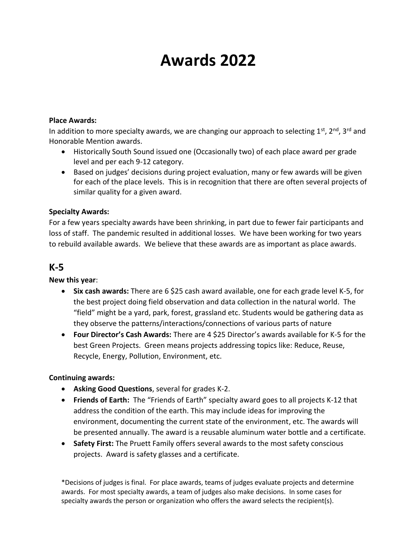# **Awards 2022**

#### **Place Awards:**

In addition to more specialty awards, we are changing our approach to selecting  $1^{st}$ ,  $2^{nd}$ ,  $3^{rd}$  and Honorable Mention awards.

- Historically South Sound issued one (Occasionally two) of each place award per grade level and per each 9-12 category.
- Based on judges' decisions during project evaluation, many or few awards will be given for each of the place levels. This is in recognition that there are often several projects of similar quality for a given award.

#### **Specialty Awards:**

For a few years specialty awards have been shrinking, in part due to fewer fair participants and loss of staff. The pandemic resulted in additional losses. We have been working for two years to rebuild available awards. We believe that these awards are as important as place awards.

# **K-5**

#### **New this year**:

- **Six cash awards:** There are 6 \$25 cash award available, one for each grade level K-5, for the best project doing field observation and data collection in the natural world. The "field" might be a yard, park, forest, grassland etc. Students would be gathering data as they observe the patterns/interactions/connections of various parts of nature
- **Four Director's Cash Awards:** There are 4 \$25 Director's awards available for K-5 for the best Green Projects. Green means projects addressing topics like: Reduce, Reuse, Recycle, Energy, Pollution, Environment, etc.

#### **Continuing awards:**

- **Asking Good Questions**, several for grades K-2.
- **Friends of Earth:** The "Friends of Earth" specialty award goes to all projects K-12 that address the condition of the earth. This may include ideas for improving the environment, documenting the current state of the environment, etc. The awards will be presented annually. The award is a reusable aluminum water bottle and a certificate.
- **Safety First:** The Pruett Family offers several awards to the most safety conscious projects. Award is safety glasses and a certificate.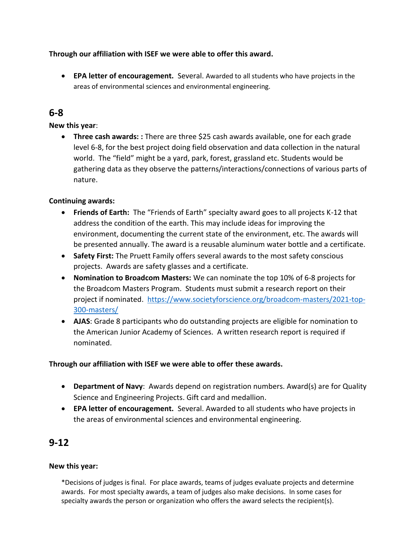**Through our affiliation with ISEF we were able to offer this award.** 

 **EPA letter of encouragement.** Several. Awarded to all students who have projects in the areas of environmental sciences and environmental engineering.

# **6-8**

#### **New this year**:

 **Three cash awards: :** There are three \$25 cash awards available, one for each grade level 6-8, for the best project doing field observation and data collection in the natural world. The "field" might be a yard, park, forest, grassland etc. Students would be gathering data as they observe the patterns/interactions/connections of various parts of nature.

## **Continuing awards:**

- **Friends of Earth:** The "Friends of Earth" specialty award goes to all projects K-12 that address the condition of the earth. This may include ideas for improving the environment, documenting the current state of the environment, etc. The awards will be presented annually. The award is a reusable aluminum water bottle and a certificate.
- **Safety First:** The Pruett Family offers several awards to the most safety conscious projects. Awards are safety glasses and a certificate.
- **Nomination to Broadcom Masters:** We can nominate the top 10% of 6-8 projects for the Broadcom Masters Program. Students must submit a research report on their project if nominated. [https://www.societyforscience.org/broadcom-masters/2021-top-](https://www.societyforscience.org/broadcom-masters/2021-top-300-masters/)[300-masters/](https://www.societyforscience.org/broadcom-masters/2021-top-300-masters/)
- **AJAS**: Grade 8 participants who do outstanding projects are eligible for nomination to the American Junior Academy of Sciences. A written research report is required if nominated.

## **Through our affiliation with ISEF we were able to offer these awards.**

- **Department of Navy**: Awards depend on registration numbers. Award(s) are for Quality Science and Engineering Projects. Gift card and medallion.
- **EPA letter of encouragement.** Several. Awarded to all students who have projects in the areas of environmental sciences and environmental engineering.

# **9-12**

#### **New this year:**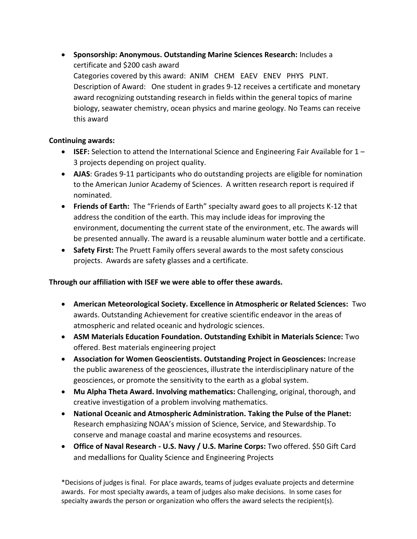**Sponsorship: Anonymous. Outstanding Marine Sciences Research:** Includes a certificate and \$200 cash award Categories covered by this award: ANIM CHEM EAEV ENEV PHYS PLNT. Description of Award: One student in grades 9-12 receives a certificate and monetary award recognizing outstanding research in fields within the general topics of marine biology, seawater chemistry, ocean physics and marine geology. No Teams can receive this award

#### **Continuing awards:**

- **ISEF:** Selection to attend the International Science and Engineering Fair Available for 1 3 projects depending on project quality.
- **AJAS**: Grades 9-11 participants who do outstanding projects are eligible for nomination to the American Junior Academy of Sciences. A written research report is required if nominated.
- **Friends of Earth:** The "Friends of Earth" specialty award goes to all projects K-12 that address the condition of the earth. This may include ideas for improving the environment, documenting the current state of the environment, etc. The awards will be presented annually. The award is a reusable aluminum water bottle and a certificate.
- **Safety First:** The Pruett Family offers several awards to the most safety conscious projects. Awards are safety glasses and a certificate.

## **Through our affiliation with ISEF we were able to offer these awards.**

- **American Meteorological Society. Excellence in Atmospheric or Related Sciences:** Two awards. Outstanding Achievement for creative scientific endeavor in the areas of atmospheric and related oceanic and hydrologic sciences.
- **ASM Materials Education Foundation. Outstanding Exhibit in Materials Science:** Two offered. Best materials engineering project
- **Association for Women Geoscientists. Outstanding Project in Geosciences:** Increase the public awareness of the geosciences, illustrate the interdisciplinary nature of the geosciences, or promote the sensitivity to the earth as a global system.
- **Mu Alpha Theta Award. Involving mathematics:** Challenging, original, thorough, and creative investigation of a problem involving mathematics.
- **National Oceanic and Atmospheric Administration. Taking the Pulse of the Planet:**  Research emphasizing NOAA's mission of Science, Service, and Stewardship. To conserve and manage coastal and marine ecosystems and resources.
- **Office of Naval Research - U.S. Navy / U.S. Marine Corps:** Two offered. \$50 Gift Card and medallions for Quality Science and Engineering Projects